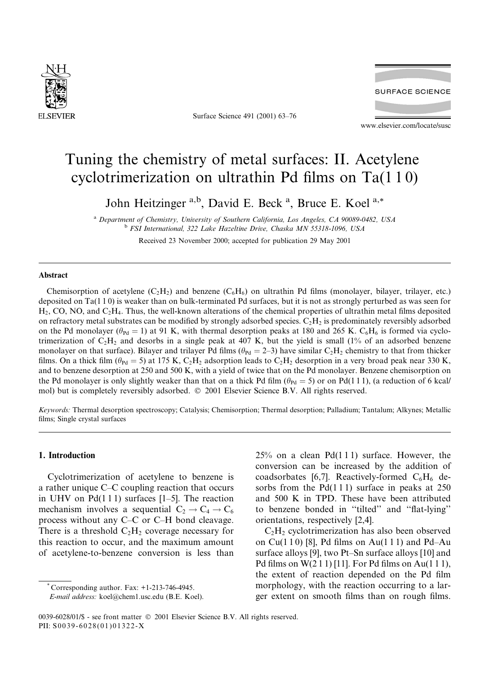

Surface Science 491 (2001) 63-76



www.elsevier.com/locate/susc

# Tuning the chemistry of metal surfaces: II. Acetylene cyclotrimerization on ultrathin Pd films on  $Ta(110)$

John Heitzinger<sup>a,b</sup>, David E. Beck<sup>a</sup>, Bruce E. Koel<sup>a,\*</sup>

<sup>a</sup> Department of Chemistry, University of Southern California, Los Angeles, CA 90089-0482, USA <sup>b</sup> FSI International, 322 Lake Hazeltine Drive, Chaska MN 55318-1096, USA

Received 23 November 2000; accepted for publication 29 May 2001

## Abstract

Chemisorption of acetylene (C<sub>2</sub>H<sub>2</sub>) and benzene (C<sub>6</sub>H<sub>6</sub>) on ultrathin Pd films (monolayer, bilayer, trilayer, etc.) deposited on  $Ta(110)$  is weaker than on bulk-terminated Pd surfaces, but it is not as strongly perturbed as was seen for  $H_2$ , CO, NO, and  $C_2H_4$ . Thus, the well-known alterations of the chemical properties of ultrathin metal films deposited on refractory metal substrates can be modified by strongly adsorbed species.  $C_2H_2$  is predominately reversibly adsorbed on the Pd monolayer ( $\theta_{\text{Pd}} = 1$ ) at 91 K, with thermal desorption peaks at 180 and 265 K. C<sub>6</sub>H<sub>6</sub> is formed via cyclotrimerization of  $C_2H_2$  and desorbs in a single peak at 407 K, but the yield is small (1% of an adsorbed benzene monolayer on that surface). Bilayer and trilayer Pd films ( $\theta_{\text{Pd}} = 2-3$ ) have similar C<sub>2</sub>H<sub>2</sub> chemistry to that from thicker films. On a thick film ( $\theta_{\text{Pd}} = 5$ ) at 175 K, C<sub>2</sub>H<sub>2</sub> adsorption leads to C<sub>2</sub>H<sub>2</sub> desorption in a very broad peak near 330 K, and to benzene desorption at 250 and 500 K, with a yield of twice that on the Pd monolayer. Benzene chemisorption on the Pd monolayer is only slightly weaker than that on a thick Pd film  $(\theta_{\text{Pd}} = 5)$  or on Pd(111), (a reduction of 6 kcal/ mol) but is completely reversibly adsorbed. © 2001 Elsevier Science B.V. All rights reserved.

Keywords: Thermal desorption spectroscopy; Catalysis; Chemisorption; Thermal desorption; Palladium; Tantalum; Alkynes; Metallic films; Single crystal surfaces

## 1. Introduction

Cyclotrimerization of acetylene to benzene is a rather unique C–C coupling reaction that occurs in UHV on  $Pd(111)$  surfaces [1-5]. The reaction mechanism involves a sequential  $C_2 \rightarrow C_4 \rightarrow C_6$ process without any C–C or C–H bond cleavage. There is a threshold  $C_2H_2$  coverage necessary for this reaction to occur, and the maximum amount of acetylene-to-benzene conversion is less than

Corresponding author. Fax: +1-213-746-4945.

 $25\%$  on a clean Pd(111) surface. However, the conversion can be increased by the addition of coadsorbates [6,7]. Reactively-formed  $C_6H_6$  desorbs from the  $Pd(111)$  surface in peaks at 250 and 500 K in TPD. These have been attributed to benzene bonded in "tilted" and "flat-lying" orientations, respectively [2,4].

 $C_2H_2$  cyclotrimerization has also been observed on  $Cu(110)$  [8], Pd films on  $Au(111)$  and Pd-Au surface alloys [9], two Pt–Sn surface alloys [10] and Pd films on  $W(211)$  [11]. For Pd films on Au(111), the extent of reaction depended on the Pd film morphology, with the reaction occurring to a larger extent on smooth films than on rough films.

E-mail address: koel@chem1.usc.edu (B.E. Koel).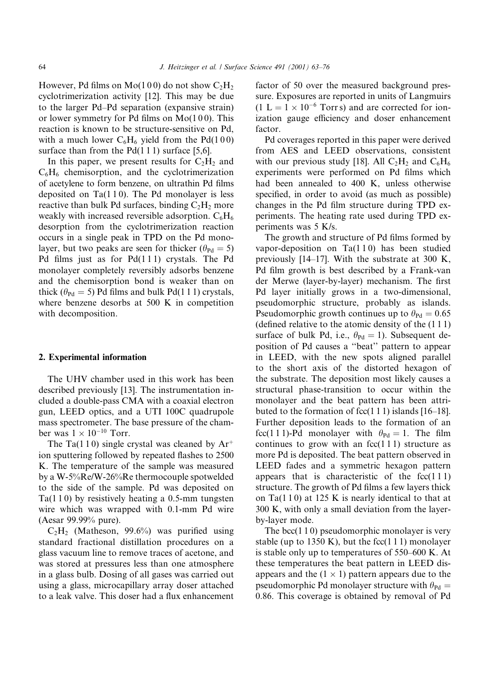However, Pd films on Mo(100) do not show  $C_2H_2$ cyclotrimerization activity [12]. This may be due to the larger Pd–Pd separation (expansive strain) or lower symmetry for Pd films on  $Mo(100)$ . This reaction is known to be structure-sensitive on Pd. with a much lower  $C_6H_6$  yield from the Pd(100) surface than from the  $Pd(111)$  surface [5,6].

In this paper, we present results for  $C_2H_2$  and  $C_6H_6$  chemisorption, and the cyclotrimerization of acetylene to form benzene, on ultrathin Pd films deposited on  $Ta(110)$ . The Pd monolayer is less reactive than bulk Pd surfaces, binding  $C_2H_2$  more weakly with increased reversible adsorption.  $C_6H_6$ desorption from the cyclotrimerization reaction occurs in a single peak in TPD on the Pd monolayer, but two peaks are seen for thicker ( $\theta_{\text{Pd}} = 5$ ) Pd films just as for  $Pd(111)$  crystals. The Pd monolayer completely reversibly adsorbs benzene and the chemisorption bond is weaker than on thick ( $\theta_{\text{Pd}}$  = 5) Pd films and bulk Pd(1 1 1) crystals, where benzene desorbs at 500 K in competition with decomposition.

#### 2. Experimental information

The UHV chamber used in this work has been described previously [13]. The instrumentation included a double-pass CMA with a coaxial electron gun, LEED optics, and a UTI 100C quadrupole mass spectrometer. The base pressure of the chamber was  $1 \times 10^{-10}$  Torr.

The Ta(110) single crystal was cleaned by  $Ar^+$ ion sputtering followed by repeated flashes to 2500 K. The temperature of the sample was measured by a W-5%Re/W-26%Re thermocouple spotwelded to the side of the sample. Pd was deposited on  $Ta(110)$  by resistively heating a 0.5-mm tungsten wire which was wrapped with 0.1-mm Pd wire (Aesar 99.99% pure).

 $C_2H_2$  (Matheson, 99.6%) was purified using standard fractional distillation procedures on a glass vacuum line to remove traces of acetone, and was stored at pressures less than one atmosphere in a glass bulb. Dosing of all gases was carried out using a glass, microcapillary array doser attached to a leak valve. This doser had a flux enhancement factor of 50 over the measured background pressure. Exposures are reported in units of Langmuirs  $(1 L = 1 \times 10^{-6}$  Torrs) and are corrected for ionization gauge efficiency and doser enhancement factor.

Pd coverages reported in this paper were derived from AES and LEED observations, consistent with our previous study [18]. All  $C_2H_2$  and  $C_6H_6$ experiments were performed on Pd films which had been annealed to 400 K, unless otherwise specified, in order to avoid (as much as possible) changes in the Pd film structure during TPD experiments. The heating rate used during TPD experiments was 5 K/s.

The growth and structure of Pd films formed by vapor-deposition on  $Ta(110)$  has been studied previously  $[14-17]$ . With the substrate at 300 K, Pd film growth is best described by a Frank-van der Merwe (layer-by-layer) mechanism. The first Pd layer initially grows in a two-dimensional, pseudomorphic structure, probably as islands. Pseudomorphic growth continues up to  $\theta_{\text{Pd}} = 0.65$ (defined relative to the atomic density of the  $(1\ 1\ 1)$ ) surface of bulk Pd, i.e.,  $\theta_{\text{Pd}} = 1$ ). Subsequent deposition of Pd causes a "beat" pattern to appear in LEED, with the new spots aligned parallel to the short axis of the distorted hexagon of the substrate. The deposition most likely causes a structural phase-transition to occur within the monolayer and the beat pattern has been attributed to the formation of  $fcc(111)$  islands [16–18]. Further deposition leads to the formation of an fcc(111)-Pd monolayer with  $\theta_{\text{Pd}} = 1$ . The film continues to grow with an  $fcc(111)$  structure as more Pd is deposited. The beat pattern observed in LEED fades and a symmetric hexagon pattern appears that is characteristic of the  $fcc(111)$ structure. The growth of Pd films a few layers thick on Ta $(110)$  at 125 K is nearly identical to that at 300 K, with only a small deviation from the layerby-layer mode.

The bcc $(110)$  pseudomorphic monolayer is very stable (up to 1350 K), but the fcc(1 1 1) monolayer is stable only up to temperatures of 550–600 K. At these temperatures the beat pattern in LEED disappears and the  $(1 \times 1)$  pattern appears due to the pseudomorphic Pd monolayer structure with  $\theta_{\text{Pd}} =$ 0.86. This coverage is obtained by removal of Pd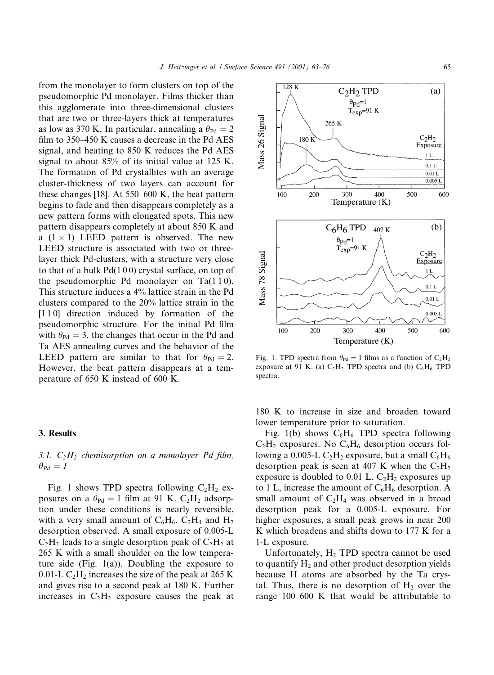from the monolayer to form clusters on top of the pseudomorphic Pd monolayer. Films thicker than this agglomerate into three-dimensional clusters that are two or three-layers thick at temperatures as low as 370 K. In particular, annealing a  $\theta_{\text{Pd}} = 2$ film to 350–450 K causes a decrease in the Pd AES signal, and heating to 850 K reduces the Pd AES signal to about 85% of its initial value at 125 K. The formation of Pd crystallites with an average cluster-thickness of two layers can account for these changes [18]. At  $550-600$  K, the beat pattern begins to fade and then disappears completely as a new pattern forms with elongated spots. This new pattern disappears completely at about 850 K and a  $(1 \times 1)$  LEED pattern is observed. The new LEED structure is associated with two or threelayer thick Pd-clusters, with a structure very close to that of a bulk Pd(100) crystal surface, on top of the pseudomorphic Pd monolayer on  $Ta(110)$ . This structure induces a 4% lattice strain in the Pd clusters compared to the 20% lattice strain in the [110] direction induced by formation of the pseudomorphic structure. For the initial Pd film with  $\theta_{\text{Pd}} = 3$ , the changes that occur in the Pd and Ta AES annealing curves and the behavior of the LEED pattern are similar to that for  $\theta_{\text{Pd}} = 2$ . However, the beat pattern disappears at a temperature of 650 K instead of 600 K.

#### 3. Results

## 3.1.  $C_2H_2$  chemisorption on a monolayer Pd film,  $\theta_{Pd}=I$

Fig. 1 shows TPD spectra following  $C_2H_2$  exposures on a  $\theta_{\text{Pd}} = 1$  film at 91 K. C<sub>2</sub>H<sub>2</sub> adsorption under these conditions is nearly reversible, with a very small amount of  $C_6H_6$ ,  $C_2H_4$  and  $H_2$ desorption observed. A small exposure of 0.005-L  $C_2H_2$  leads to a single desorption peak of  $C_2H_2$  at 265 K with a small shoulder on the low temperature side (Fig. 1(a)). Doubling the exposure to 0.01-L  $C_2H_2$  increases the size of the peak at 265 K and gives rise to a second peak at 180 K. Further increases in  $C_2H_2$  exposure causes the peak at Fig. 1. TPD spectra from  $\theta_{\text{Pd}} = 1$  films as a function of  $C_2H_2$ exposure at 91 K: (a)  $C_2H_2$  TPD spectra and (b)  $C_6H_6$  TPD spectra.

180 K to increase in size and broaden toward lower temperature prior to saturation.

Fig. 1(b) shows  $C_6H_6$  TPD spectra following  $C_2H_2$  exposures. No  $C_6H_6$  desorption occurs following a 0.005-L  $C_2H_2$  exposure, but a small  $C_6H_6$ desorption peak is seen at 407 K when the  $C_2H_2$ exposure is doubled to 0.01 L.  $C_2H_2$  exposures up to 1 L, increase the amount of  $C_6H_6$  desorption. A small amount of  $C_2H_4$  was observed in a broad desorption peak for a 0.005-L exposure. For higher exposures, a small peak grows in near 200 K which broadens and shifts down to 177 K for a 1-L exposure.

Unfortunately, H<sub>2</sub> TPD spectra cannot be used to quantify  $H_2$  and other product desorption yields because H atoms are absorbed by the Ta crystal. Thus, there is no desorption of  $H_2$  over the range 100–600 K that would be attributable to

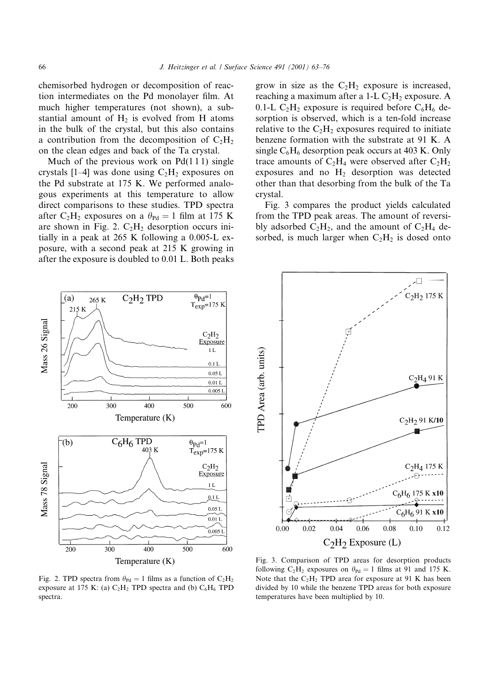chemisorbed hydrogen or decomposition of reaction intermediates on the Pd monolayer film. At much higher temperatures (not shown), a substantial amount of  $H_2$  is evolved from H atoms in the bulk of the crystal, but this also contains a contribution from the decomposition of  $C_2H_2$ on the clean edges and back of the Ta crystal.

Much of the previous work on  $Pd(111)$  single crystals [1–4] was done using  $C_2H_2$  exposures on the Pd substrate at 175 K. We performed analogous experiments at this temperature to allow direct comparisons to these studies. TPD spectra after C<sub>2</sub>H<sub>2</sub> exposures on a  $\theta_{\text{Pd}} = 1$  film at 175 K are shown in Fig. 2.  $C_2H_2$  desorption occurs initially in a peak at 265 K following a 0.005-L exposure, with a second peak at 215 K growing in after the exposure is doubled to 0.01 L. Both peaks grow in size as the  $C_2H_2$  exposure is increased, reaching a maximum after a 1-L  $C_2H_2$  exposure. A 0.1-L  $C_2H_2$  exposure is required before  $C_6H_6$  desorption is observed, which is a ten-fold increase relative to the  $C_2H_2$  exposures required to initiate benzene formation with the substrate at 91 K. A single  $C_6H_6$  desorption peak occurs at 403 K. Only trace amounts of  $C_2H_4$  were observed after  $C_2H_2$ exposures and no  $H_2$  desorption was detected other than that desorbing from the bulk of the Ta crystal.

Fig. 3 compares the product yields calculated from the TPD peak areas. The amount of reversibly adsorbed  $C_2H_2$ , and the amount of  $C_2H_4$  desorbed, is much larger when  $C_2H_2$  is dosed onto



Fig. 2. TPD spectra from  $\theta_{\text{Pd}} = 1$  films as a function of  $C_2H_2$ exposure at 175 K: (a)  $C_2H_2$  TPD spectra and (b)  $C_6H_6$  TPD spectra.



Fig. 3. Comparison of TPD areas for desorption products following C<sub>2</sub>H<sub>2</sub> exposures on  $\theta_{\text{Pd}} = 1$  films at 91 and 175 K. Note that the  $C_2H_2$  TPD area for exposure at 91 K has been divided by 10 while the benzene TPD areas for both exposure temperatures have been multiplied by 10.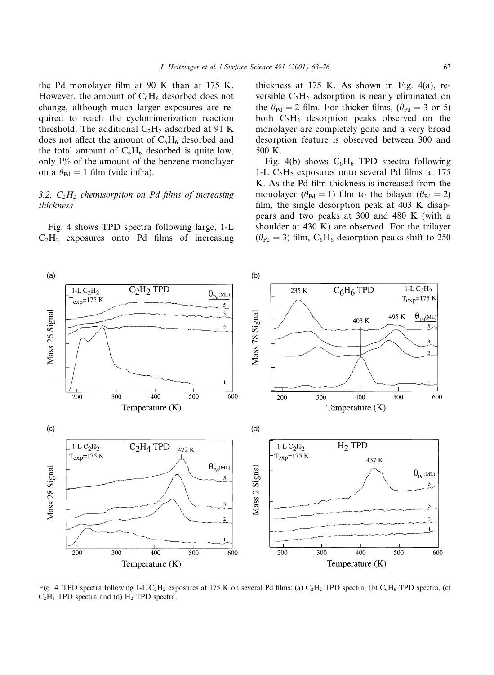the Pd monolayer film at 90 K than at 175 K. However, the amount of  $C_6H_6$  desorbed does not change, although much larger exposures are required to reach the cyclotrimerization reaction threshold. The additional  $C_2H_2$  adsorbed at 91 K does not affect the amount of  $C_6H_6$  desorbed and the total amount of  $C_6H_6$  desorbed is quite low, only 1% of the amount of the benzene monolayer on a  $\theta_{\text{Pd}} = 1$  film (vide infra).

## 3.2.  $C_2H_2$  chemisorption on Pd films of increasing thickness

Fig. 4 shows TPD spectra following large, 1-L  $C_2H_2$  exposures onto Pd films of increasing thickness at  $175$  K. As shown in Fig. 4(a), reversible  $C_2H_2$  adsorption is nearly eliminated on the  $\theta_{\text{Pd}} = 2$  film. For thicker films, ( $\theta_{\text{Pd}} = 3$  or 5) both  $C_2H_2$  desorption peaks observed on the monolayer are completely gone and a very broad desorption feature is observed between 300 and 500 K.

Fig. 4(b) shows  $C_6H_6$  TPD spectra following 1-L  $C_2H_2$  exposures onto several Pd films at 175 K. As the Pd film thickness is increased from the monolayer ( $\theta_{\text{Pd}} = 1$ ) film to the bilayer ( $\theta_{\text{Pd}} = 2$ ) film, the single desorption peak at 403 K disappears and two peaks at 300 and 480 K (with a shoulder at 430 K) are observed. For the trilayer  $(\theta_{\text{Pd}} = 3)$  film, C<sub>6</sub>H<sub>6</sub> desorption peaks shift to 250



Fig. 4. TPD spectra following 1-L C<sub>2</sub>H<sub>2</sub> exposures at 175 K on several Pd films: (a) C<sub>2</sub>H<sub>2</sub> TPD spectra, (b) C<sub>6</sub>H<sub>6</sub> TPD spectra, (c)  $C_2H_4$  TPD spectra and (d)  $H_2$  TPD spectra.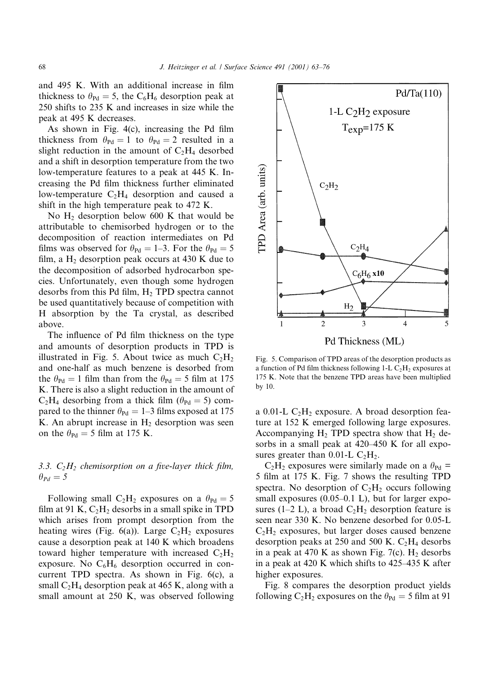and 495 K. With an additional increase in film thickness to  $\theta_{\text{Pd}} = 5$ , the C<sub>6</sub>H<sub>6</sub> desorption peak at 250 shifts to 235 K and increases in size while the peak at 495 K decreases.

As shown in Fig. 4(c), increasing the Pd film thickness from  $\theta_{\text{Pd}} = 1$  to  $\theta_{\text{Pd}} = 2$  resulted in a slight reduction in the amount of  $C_2H_4$  desorbed and a shift in desorption temperature from the two low-temperature features to a peak at 445 K. Increasing the Pd film thickness further eliminated low-temperature  $C_2H_4$  desorption and caused a shift in the high temperature peak to 472 K.

No  $H_2$  desorption below 600 K that would be attributable to chemisorbed hydrogen or to the decomposition of reaction intermediates on Pd films was observed for  $\theta_{\text{Pd}} = 1-3$ . For the  $\theta_{\text{Pd}} = 5$ film, a  $H_2$  desorption peak occurs at 430 K due to the decomposition of adsorbed hydrocarbon species. Unfortunately, even though some hydrogen desorbs from this Pd film,  $H_2$  TPD spectra cannot be used quantitatively because of competition with H absorption by the Ta crystal, as described above.

The influence of Pd film thickness on the type and amounts of desorption products in TPD is illustrated in Fig. 5. About twice as much  $C_2H_2$ and one-half as much benzene is desorbed from the  $\theta_{\text{Pd}} = 1$  film than from the  $\theta_{\text{Pd}} = 5$  film at 175 K. There is also a slight reduction in the amount of  $C_2H_4$  desorbing from a thick film ( $\theta_{\text{Pd}} = 5$ ) compared to the thinner  $\theta_{\text{Pd}} = 1-3$  films exposed at 175 K. An abrupt increase in  $H_2$  desorption was seen on the  $\theta_{\text{Pd}} = 5$  film at 175 K.

3.3.  $C_2H_2$  chemisorption on a five-layer thick film,  $\theta_{Pd}=5$ 

Following small C<sub>2</sub>H<sub>2</sub> exposures on a  $\theta_{\text{Pd}} = 5$ film at 91 K,  $C_2H_2$  desorbs in a small spike in TPD which arises from prompt desorption from the heating wires (Fig. 6(a)). Large  $C_2H_2$  exposures cause a desorption peak at 140 K which broadens toward higher temperature with increased  $C_2H_2$ exposure. No  $C_6H_6$  desorption occurred in concurrent TPD spectra. As shown in Fig. 6(c), a small  $C_2H_4$  desorption peak at 465 K, along with a small amount at 250 K, was observed following

Fig. 5. Comparison of TPD areas of the desorption products as a function of Pd film thickness following  $1-L C<sub>2</sub>H<sub>2</sub>$  exposures at 175 K. Note that the benzene TPD areas have been multiplied by 10.

a  $0.01$ -L C<sub>2</sub>H<sub>2</sub> exposure. A broad desorption feature at 152 K emerged following large exposures. Accompanying  $H_2$  TPD spectra show that  $H_2$  desorbs in a small peak at 420–450 K for all exposures greater than 0.01-L  $C_2H_2$ .

 $C_2H_2$  exposures were similarly made on a  $\theta_{\text{Pd}} =$ 5 film at 175 K. Fig. 7 shows the resulting TPD spectra. No desorption of  $C_2H_2$  occurs following small exposures  $(0.05-0.1 \text{ L})$ , but for larger exposures (1–2 L), a broad  $C_2H_2$  desorption feature is seen near 330 K. No benzene desorbed for 0.05-L  $C_2H_2$  exposures, but larger doses caused benzene desorption peaks at 250 and 500 K.  $C_2H_4$  desorbs in a peak at 470 K as shown Fig. 7(c).  $H_2$  desorbs in a peak at 420 K which shifts to 425–435 K after higher exposures.

Fig. 8 compares the desorption product yields following  $C_2H_2$  exposures on the  $\theta_{\text{Pd}} = 5$  film at 91

 $C_2H_2$ 

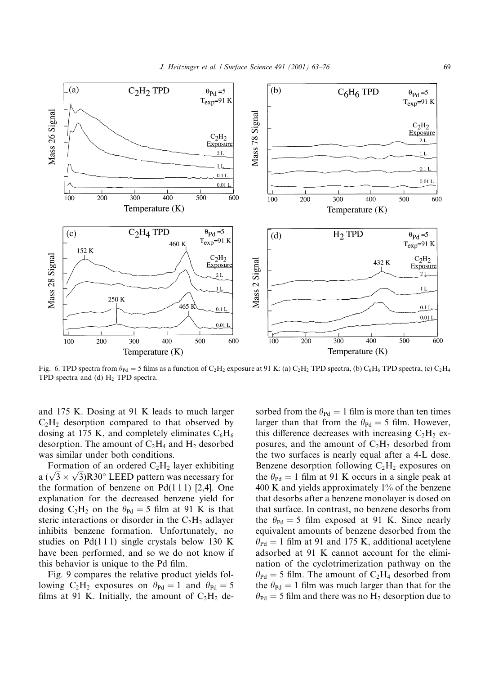

Fig. 6. TPD spectra from  $\theta_{\text{Pd}} = 5$  films as a function of C<sub>2</sub>H<sub>2</sub> exposure at 91 K: (a) C<sub>2</sub>H<sub>2</sub> TPD spectra, (b) C<sub>6</sub>H<sub>6</sub> TPD spectra, (c) C<sub>2</sub>H<sub>4</sub> TPD spectra and (d)  $H_2$  TPD spectra.

and 175 K. Dosing at 91 K leads to much larger  $C_2H_2$  desorption compared to that observed by dosing at 175 K, and completely eliminates  $C_6H_6$ desorption. The amount of  $C_2H_4$  and  $H_2$  desorbed was similar under both conditions.

Formation of an ordered  $C_2H_2$  layer exhibiting a  $(\sqrt{3} \times \sqrt{3})$ R30° LEED pattern was necessary for the formation of benzene on  $Pd(111)$  [2,4]. One explanation for the decreased benzene yield for dosing C<sub>2</sub>H<sub>2</sub> on the  $\theta_{\text{Pd}} = 5$  film at 91 K is that steric interactions or disorder in the  $C_2H_2$  adlayer inhibits benzene formation. Unfortunately, no studies on  $Pd(111)$  single crystals below 130 K have been performed, and so we do not know if this behavior is unique to the Pd film.

Fig. 9 compares the relative product yields following C<sub>2</sub>H<sub>2</sub> exposures on  $\theta_{\text{Pd}} = 1$  and  $\theta_{\text{Pd}} = 5$ films at 91 K. Initially, the amount of  $C_2H_2$  desorbed from the  $\theta_{\text{Pd}} = 1$  film is more than ten times larger than that from the  $\theta_{\text{Pd}} = 5$  film. However, this difference decreases with increasing  $C_2H_2$  exposures, and the amount of  $C_2H_2$  desorbed from the two surfaces is nearly equal after a 4-L dose. Benzene desorption following  $C_2H_2$  exposures on the  $\theta_{\text{Pd}} = 1$  film at 91 K occurs in a single peak at 400 K and yields approximately  $1\%$  of the benzene that desorbs after a benzene monolayer is dosed on that surface. In contrast, no benzene desorbs from the  $\theta_{\text{Pd}} = 5$  film exposed at 91 K. Since nearly equivalent amounts of benzene desorbed from the  $\theta_{\text{Pd}} = 1$  film at 91 and 175 K, additional acetylene adsorbed at 91 K cannot account for the elimination of the cyclotrimerization pathway on the  $\theta_{\text{Pd}} = 5$  film. The amount of C<sub>2</sub>H<sub>4</sub> desorbed from the  $\theta_{\text{Pd}} = 1$  film was much larger than that for the  $\theta_{\text{Pd}} = 5$  film and there was no H<sub>2</sub> desorption due to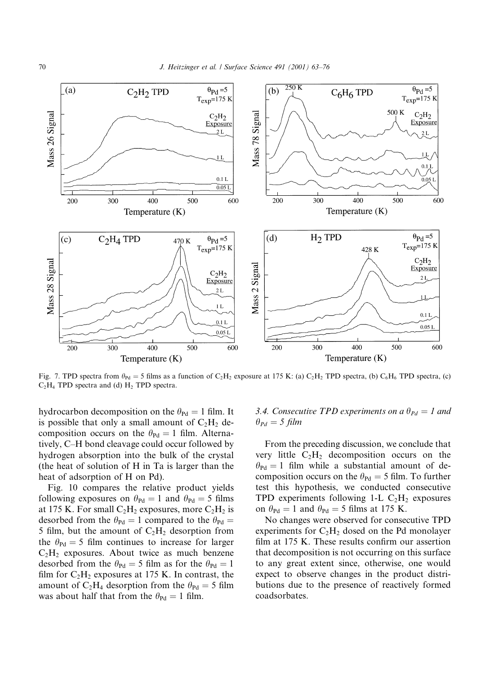

Fig. 7. TPD spectra from  $\theta_{\text{Pd}} = 5$  films as a function of C<sub>2</sub>H<sub>2</sub> exposure at 175 K: (a) C<sub>2</sub>H<sub>2</sub> TPD spectra, (b) C<sub>6</sub>H<sub>6</sub> TPD spectra, (c)  $C_2H_4$  TPD spectra and (d)  $H_2$  TPD spectra.

hydrocarbon decomposition on the  $\theta_{\text{Pd}} = 1$  film. It is possible that only a small amount of  $C_2H_2$  decomposition occurs on the  $\theta_{\text{Pd}} = 1$  film. Alternatively, C-H bond cleavage could occur followed by hydrogen absorption into the bulk of the crystal (the heat of solution of H in Ta is larger than the heat of adsorption of H on Pd).

Fig. 10 compares the relative product yields following exposures on  $\theta_{\text{Pd}} = 1$  and  $\theta_{\text{Pd}} = 5$  films at 175 K. For small  $C_2H_2$  exposures, more  $C_2H_2$  is desorbed from the  $\theta_{\text{Pd}} = 1$  compared to the  $\theta_{\text{Pd}} =$ 5 film, but the amount of  $C_2H_2$  desorption from the  $\theta_{\text{Pd}} = 5$  film continues to increase for larger  $C_2H_2$  exposures. About twice as much benzene desorbed from the  $\theta_{\text{Pd}} = 5$  film as for the  $\theta_{\text{Pd}} = 1$ film for  $C_2H_2$  exposures at 175 K. In contrast, the amount of C<sub>2</sub>H<sub>4</sub> desorption from the  $\theta_{\text{Pd}} = 5$  film was about half that from the  $\theta_{\text{Pd}} = 1$  film.

# 3.4. Consecutive TPD experiments on a  $\theta_{Pd} = 1$  and  $\theta_{Pd}=5$  film

From the preceding discussion, we conclude that very little  $C_2H_2$  decomposition occurs on the  $\theta_{\text{Pd}} = 1$  film while a substantial amount of decomposition occurs on the  $\theta_{\text{Pd}} = 5$  film. To further test this hypothesis, we conducted consecutive TPD experiments following 1-L  $C_2H_2$  exposures on  $\theta_{\text{Pd}} = 1$  and  $\theta_{\text{Pd}} = 5$  films at 175 K.

No changes were observed for consecutive TPD experiments for  $C_2H_2$  dosed on the Pd monolayer film at 175 K. These results confirm our assertion that decomposition is not occurring on this surface to any great extent since, otherwise, one would expect to observe changes in the product distributions due to the presence of reactively formed coadsorbates.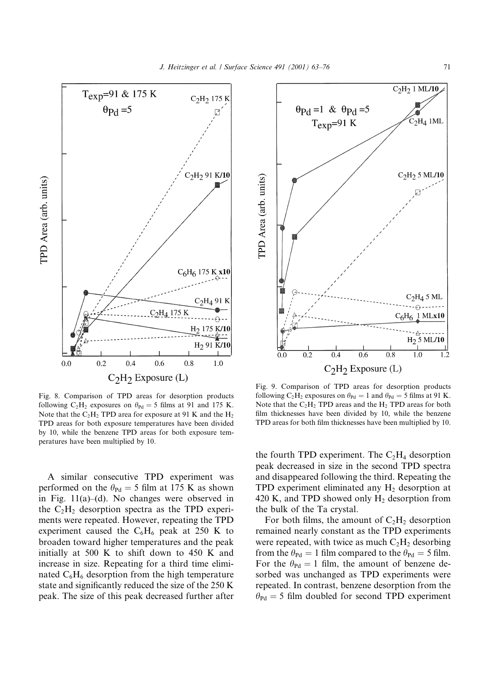

Fig. 8. Comparison of TPD areas for desorption products following C<sub>2</sub>H<sub>2</sub> exposures on  $\theta_{\text{Pd}} = 5$  films at 91 and 175 K. Note that the  $C_2H_2$  TPD area for exposure at 91 K and the  $H_2$ TPD areas for both exposure temperatures have been divided by 10, while the benzene TPD areas for both exposure temperatures have been multiplied by 10.

A similar consecutive TPD experiment was performed on the  $\theta_{\text{Pd}} = 5$  film at 175 K as shown in Fig.  $11(a)$ –(d). No changes were observed in the  $C_2H_2$  desorption spectra as the TPD experiments were repeated. However, repeating the TPD experiment caused the  $C_6H_6$  peak at 250 K to broaden toward higher temperatures and the peak initially at 500 K to shift down to 450 K and increase in size. Repeating for a third time eliminated  $C_6H_6$  desorption from the high temperature state and significantly reduced the size of the 250 K peak. The size of this peak decreased further after



Fig. 9. Comparison of TPD areas for desorption products following C<sub>2</sub>H<sub>2</sub> exposures on  $\theta_{\text{Pd}} = 1$  and  $\theta_{\text{Pd}} = 5$  films at 91 K. Note that the  $C_2H_2$  TPD areas and the  $H_2$  TPD areas for both film thicknesses have been divided by 10, while the benzene TPD areas for both film thicknesses have been multiplied by 10.

the fourth TPD experiment. The  $C_2H_4$  desorption peak decreased in size in the second TPD spectra and disappeared following the third. Repeating the TPD experiment eliminated any  $H_2$  desorption at 420 K, and TPD showed only H<sub>2</sub> desorption from the bulk of the Ta crystal.

For both films, the amount of  $C_2H_2$  desorption remained nearly constant as the TPD experiments were repeated, with twice as much  $C_2H_2$  desorbing from the  $\theta_{\text{Pd}} = 1$  film compared to the  $\theta_{\text{Pd}} = 5$  film. For the  $\theta_{\text{Pd}} = 1$  film, the amount of benzene desorbed was unchanged as TPD experiments were repeated. In contrast, benzene desorption from the  $\theta_{\text{Pd}} = 5$  film doubled for second TPD experiment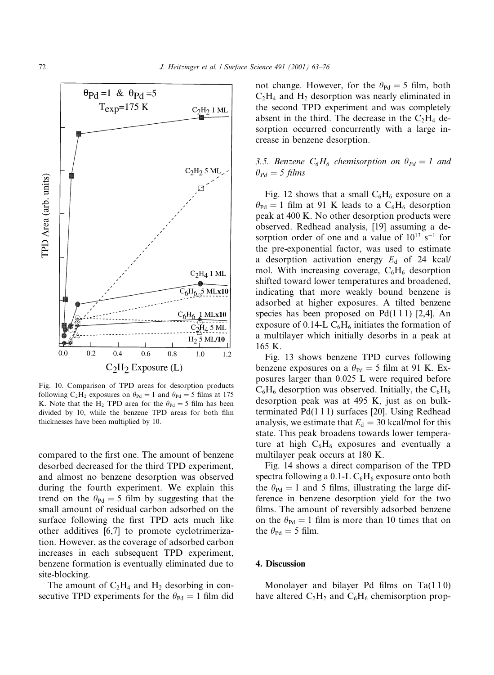

Fig. 10. Comparison of TPD areas for desorption products following C<sub>2</sub>H<sub>2</sub> exposures on  $\theta_{\text{Pd}} = 1$  and  $\theta_{\text{Pd}} = 5$  films at 175 K. Note that the H<sub>2</sub> TPD area for the  $\theta_{\text{Pd}} = 5$  film has been divided by 10, while the benzene TPD areas for both film thicknesses have been multiplied by 10.

compared to the first one. The amount of benzene desorbed decreased for the third TPD experiment, and almost no benzene desorption was observed during the fourth experiment. We explain this trend on the  $\theta_{\text{Pd}} = 5$  film by suggesting that the small amount of residual carbon adsorbed on the surface following the first TPD acts much like other additives [6,7] to promote cyclotrimerization. However, as the coverage of adsorbed carbon increases in each subsequent TPD experiment, benzene formation is eventually eliminated due to site-blocking.

The amount of  $C_2H_4$  and  $H_2$  desorbing in consecutive TPD experiments for the  $\theta_{\text{Pd}} = 1$  film did not change. However, for the  $\theta_{\text{Pd}} = 5$  film, both  $C_2H_4$  and  $H_2$  desorption was nearly eliminated in the second TPD experiment and was completely absent in the third. The decrease in the  $C_2H_4$  desorption occurred concurrently with a large increase in benzene desorption.

# 3.5. Benzene  $C_6H_6$  chemisorption on  $\theta_{Pd}=1$  and  $\theta_{Pd}=5$  films

Fig. 12 shows that a small  $C_6H_6$  exposure on a  $\theta_{\text{Pd}} = 1$  film at 91 K leads to a C<sub>6</sub>H<sub>6</sub> desorption peak at 400 K. No other desorption products were observed. Redhead analysis, [19] assuming a desorption order of one and a value of  $10^{13}$  s<sup>-1</sup> for the pre-exponential factor, was used to estimate a desorption activation energy  $E_d$  of 24 kcal/ mol. With increasing coverage,  $C_6H_6$  desorption shifted toward lower temperatures and broadened, indicating that more weakly bound benzene is adsorbed at higher exposures. A tilted benzene species has been proposed on  $Pd(111)$  [2,4]. An exposure of 0.14-L  $C_6H_6$  initiates the formation of a multilayer which initially desorbs in a peak at 165 K.

Fig. 13 shows benzene TPD curves following benzene exposures on a  $\theta_{\text{Pd}} = 5$  film at 91 K. Exposures larger than 0.025 L were required before  $C_6H_6$  desorption was observed. Initially, the  $C_6H_6$ desorption peak was at 495 K, just as on bulkterminated Pd(111) surfaces [20]. Using Redhead analysis, we estimate that  $E_d = 30$  kcal/mol for this state. This peak broadens towards lower temperature at high  $C_6H_6$  exposures and eventually a multilayer peak occurs at 180 K.

Fig. 14 shows a direct comparison of the TPD spectra following a 0.1-L  $C_6H_6$  exposure onto both the  $\theta_{\text{Pd}} = 1$  and 5 films, illustrating the large difference in benzene desorption yield for the two films. The amount of reversibly adsorbed benzene on the  $\theta_{\text{Pd}} = 1$  film is more than 10 times that on the  $\theta_{\text{Pd}} = 5$  film.

## 4. Discussion

Monolayer and bilayer Pd films on Ta(110) have altered  $C_2H_2$  and  $C_6H_6$  chemisorption prop-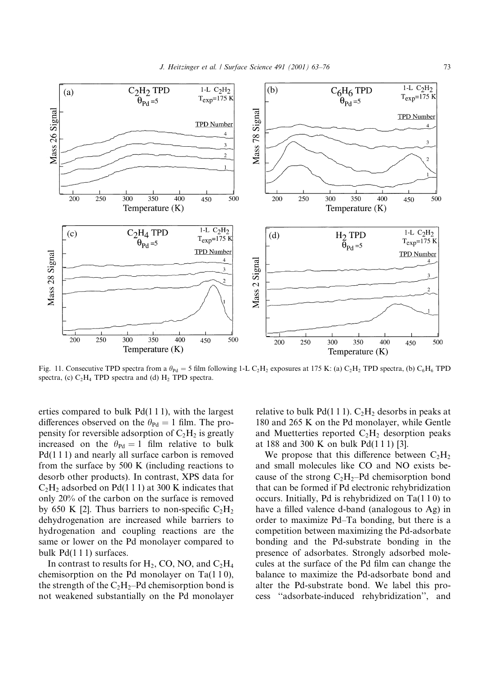

Fig. 11. Consecutive TPD spectra from a  $\theta_{\text{Pd}} = 5$  film following 1-L C<sub>2</sub>H<sub>2</sub> exposures at 175 K: (a) C<sub>2</sub>H<sub>2</sub> TPD spectra, (b) C<sub>6</sub>H<sub>6</sub> TPD spectra, (c)  $C_2H_4$  TPD spectra and (d)  $H_2$  TPD spectra.

erties compared to bulk  $Pd(111)$ , with the largest differences observed on the  $\theta_{\text{Pd}} = 1$  film. The propensity for reversible adsorption of  $C_2H_2$  is greatly increased on the  $\theta_{\text{Pd}} = 1$  film relative to bulk  $Pd(111)$  and nearly all surface carbon is removed from the surface by  $500 \text{ K}$  (including reactions to desorb other products). In contrast, XPS data for  $C_2H_2$  adsorbed on Pd(1 1 1) at 300 K indicates that only 20% of the carbon on the surface is removed by 650 K [2]. Thus barriers to non-specific  $C_2H_2$ dehydrogenation are increased while barriers to hydrogenation and coupling reactions are the same or lower on the Pd monolayer compared to bulk  $Pd(111)$  surfaces.

In contrast to results for  $H_2$ , CO, NO, and  $C_2H_4$ chemisorption on the Pd monolayer on Ta $(110)$ , the strength of the  $C_2H_2$ -Pd chemisorption bond is not weakened substantially on the Pd monolayer

relative to bulk  $Pd(111)$ .  $C_2H_2$  desorbs in peaks at 180 and 265 K on the Pd monolayer, while Gentle and Muetterties reported  $C_2H_2$  desorption peaks at 188 and 300 K on bulk Pd(111) [3].

We propose that this difference between  $C_2H_2$ and small molecules like CO and NO exists because of the strong  $C_2H_2$ -Pd chemisorption bond that can be formed if Pd electronic rehybridization occurs. Initially, Pd is rehybridized on  $Ta(110)$  to have a filled valence d-band (analogous to Ag) in order to maximize Pd-Ta bonding, but there is a competition between maximizing the Pd-adsorbate bonding and the Pd-substrate bonding in the presence of adsorbates. Strongly adsorbed molecules at the surface of the Pd film can change the balance to maximize the Pd-adsorbate bond and alter the Pd-substrate bond. We label this process "adsorbate-induced rehybridization", and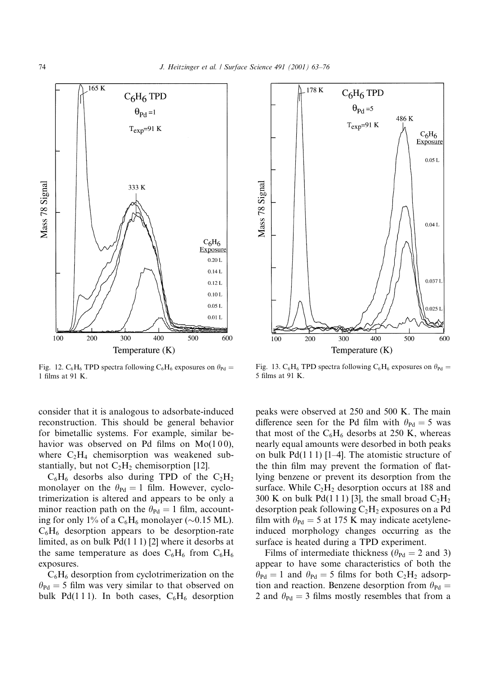



consider that it is analogous to adsorbate-induced reconstruction. This should be general behavior for bimetallic systems. For example, similar behavior was observed on Pd films on  $Mo(100)$ , where  $C_2H_4$  chemisorption was weakened substantially, but not  $C_2H_2$  chemisorption [12].

 $C_6H_6$  desorbs also during TPD of the  $C_2H_2$ monolayer on the  $\theta_{\text{Pd}} = 1$  film. However, cyclotrimerization is altered and appears to be only a minor reaction path on the  $\theta_{\text{Pd}} = 1$  film, accounting for only 1% of a  $C_6H_6$  monolayer (~0.15 ML).  $C_6H_6$  desorption appears to be desorption-rate limited, as on bulk  $Pd(111)$  [2] where it desorbs at the same temperature as does  $C_6H_6$  from  $C_6H_6$ exposures.

 $C_6H_6$  desorption from cyclotrimerization on the  $\theta_{\text{Pd}} = 5$  film was very similar to that observed on bulk Pd(111). In both cases,  $C_6H_6$  desorption



Fig. 13.  $C_6H_6$  TPD spectra following  $C_6H_6$  exposures on  $\theta_{\text{Pd}} =$ 5 films at 91 K.

peaks were observed at 250 and 500 K. The main difference seen for the Pd film with  $\theta_{\text{Pd}} = 5$  was that most of the  $C_6H_6$  desorbs at 250 K, whereas nearly equal amounts were desorbed in both peaks on bulk  $Pd(111)$  [1–4]. The atomistic structure of the thin film may prevent the formation of flatlying benzene or prevent its desorption from the surface. While  $C_2H_2$  desorption occurs at 188 and 300 K on bulk Pd(1 1 1) [3], the small broad  $C_2H_2$ desorption peak following  $C_2H_2$  exposures on a Pd film with  $\theta_{\text{Pd}} = 5$  at 175 K may indicate acetyleneinduced morphology changes occurring as the surface is heated during a TPD experiment.

Films of intermediate thickness ( $\theta_{\text{Pd}} = 2$  and 3) appear to have some characteristics of both the  $\theta_{\text{Pd}} = 1$  and  $\theta_{\text{Pd}} = 5$  films for both  $C_2H_2$  adsorption and reaction. Benzene desorption from  $\theta_{\text{Pd}} =$ 2 and  $\theta_{\text{Pd}} = 3$  films mostly resembles that from a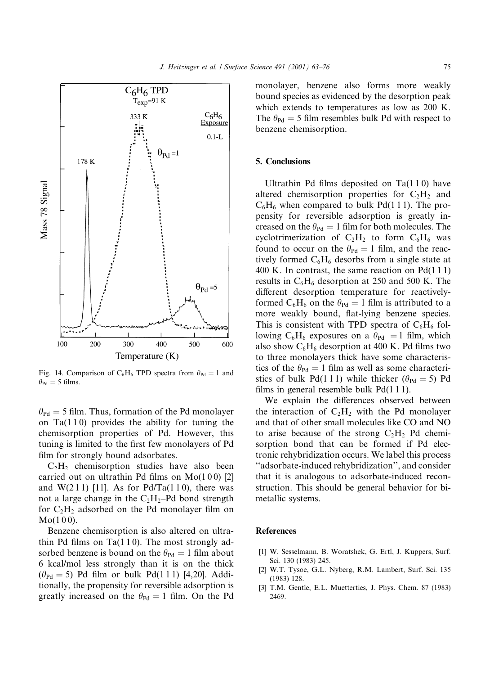

Fig. 14. Comparison of C<sub>6</sub>H<sub>6</sub> TPD spectra from  $\theta_{\text{Pd}} = 1$  and  $\theta_{\rm Pd} = 5$  films.

 $\theta_{\text{Pd}} = 5$  film. Thus, formation of the Pd monolayer on  $Ta(110)$  provides the ability for tuning the chemisorption properties of Pd. However, this tuning is limited to the first few monolayers of Pd film for strongly bound adsorbates.

 $C_2H_2$  chemisorption studies have also been carried out on ultrathin Pd films on  $Mo(100)$  [2] and  $W(211)$  [11]. As for Pd/Ta(110), there was not a large change in the  $C_2H_2$ -Pd bond strength for  $C_2H_2$  adsorbed on the Pd monolayer film on  $Mo(100).$ 

Benzene chemisorption is also altered on ultrathin Pd films on  $Ta(110)$ . The most strongly adsorbed benzene is bound on the  $\theta_{\text{Pd}} = 1$  film about 6 kcal/mol less strongly than it is on the thick  $(\theta_{\text{Pd}} = 5)$  Pd film or bulk Pd(111) [4,20]. Additionally, the propensity for reversible adsorption is greatly increased on the  $\theta_{\text{Pd}} = 1$  film. On the Pd monolayer, benzene also forms more weakly bound species as evidenced by the desorption peak which extends to temperatures as low as 200 K. The  $\theta_{\text{Pd}} = 5$  film resembles bulk Pd with respect to benzene chemisorption.

#### 5. Conclusions

Ultrathin Pd films deposited on  $Ta(110)$  have altered chemisorption properties for  $C_2H_2$  and  $C_6H_6$  when compared to bulk Pd(111). The propensity for reversible adsorption is greatly increased on the  $\theta_{\text{Pd}} = 1$  film for both molecules. The cyclotrimerization of  $C_2H_2$  to form  $C_6H_6$  was found to occur on the  $\theta_{\text{Pd}} = 1$  film, and the reactively formed  $C_6H_6$  desorbs from a single state at 400 K. In contrast, the same reaction on  $Pd(111)$ results in  $C_6H_6$  desorption at 250 and 500 K. The different desorption temperature for reactivelyformed  $C_6H_6$  on the  $\theta_{\text{Pd}} = 1$  film is attributed to a more weakly bound, flat-lying benzene species. This is consistent with TPD spectra of  $C_6H_6$  following C<sub>6</sub>H<sub>6</sub> exposures on a  $\theta_{\text{Pd}} = 1$  film, which also show  $C_6H_6$  desorption at 400 K. Pd films two to three monolayers thick have some characteristics of the  $\theta_{\text{Pd}} = 1$  film as well as some characteristics of bulk Pd(111) while thicker ( $\theta_{\text{Pd}} = 5$ ) Pd films in general resemble bulk  $Pd(111)$ .

We explain the differences observed between the interaction of  $C_2H_2$  with the Pd monolayer and that of other small molecules like CO and NO to arise because of the strong  $C_2H_2$ -Pd chemisorption bond that can be formed if Pd electronic rehybridization occurs. We label this process "adsorbate-induced rehybridization", and consider that it is analogous to adsorbate-induced reconstruction. This should be general behavior for bimetallic systems.

#### **References**

- [1] W. Sesselmann, B. Woratshek, G. Ertl, J. Kuppers, Surf. Sci. 130 (1983) 245.
- [2] W.T. Tysoe, G.L. Nyberg, R.M. Lambert, Surf. Sci. 135  $(1983)$  128.
- [3] T.M. Gentle, E.L. Muetterties, J. Phys. Chem. 87 (1983) 2469.